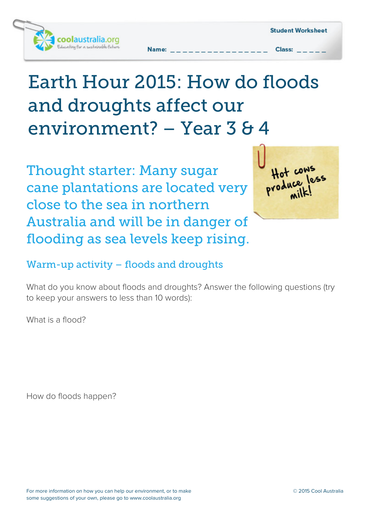

# *Earth Hour 2015: How do floods and droughts affect our environment? – Year 3 & 4*

*Thought starter: Many sugar cane plantations are located very close to the sea in northern Australia and will be in danger of flooding as sea levels keep rising.*

Hot coms

## *Warm-up activity – floods and droughts*

What do you know about floods and droughts? Answer the following questions (try to keep your answers to less than 10 words):

What is a flood?

How do floods happen?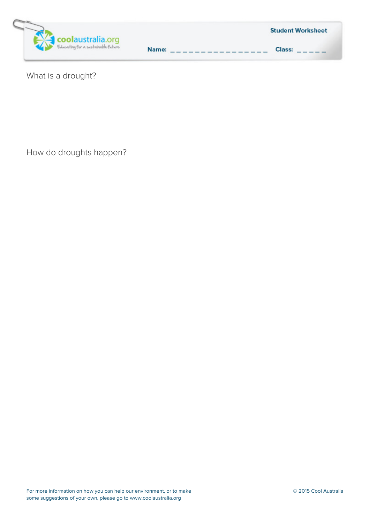

|       |                                                                                                                                                                                                                                | <b>Student Worksheet</b> |  |
|-------|--------------------------------------------------------------------------------------------------------------------------------------------------------------------------------------------------------------------------------|--------------------------|--|
| Name: | and the contract of the contract of the contract of the contract of the contract of the contract of the contract of the contract of the contract of the contract of the contract of the contract of the contract of the contra | Class:                   |  |

What is a drought?

How do droughts happen?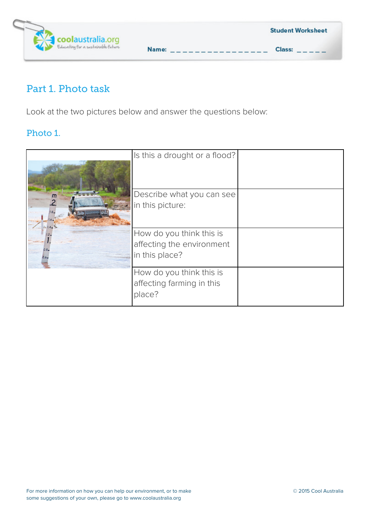

# *Part 1. Photo task*

Look at the two pictures below and answer the questions below:

#### *Photo 1.*

|                  | Is this a drought or a flood?                                           |  |
|------------------|-------------------------------------------------------------------------|--|
| m<br>$x_{4}$ 1.4 | Describe what you can see<br>in this picture:                           |  |
| 0.8.<br>0.6.     | How do you think this is<br>affecting the environment<br>in this place? |  |
|                  | How do you think this is<br>affecting farming in this<br>place?         |  |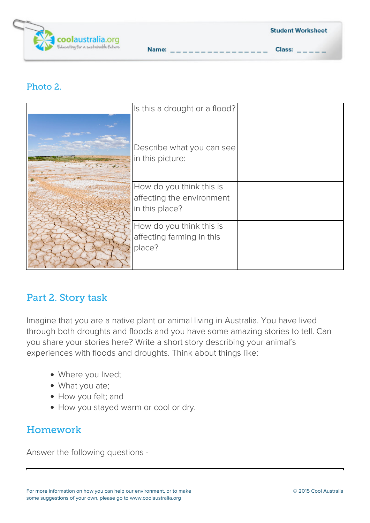

#### *Photo 2.*

| Is this a drought or a flood? |  |
|-------------------------------|--|
|                               |  |
|                               |  |
| Describe what you can see     |  |
| in this picture:              |  |
|                               |  |
| How do you think this is      |  |
| affecting the environment     |  |
| in this place?                |  |
| How do you think this is      |  |
| affecting farming in this     |  |
| place?                        |  |
|                               |  |

Name:  $_{--}$ 

## *Part 2. Story task*

Imagine that you are a native plant or animal living in Australia. You have lived through both droughts and floods and you have some amazing stories to tell. Can you share your stories here? Write a short story describing your animal's experiences with floods and droughts. Think about things like:

- Where you lived;
- What you ate;
- How you felt; and
- How you stayed warm or cool or dry.

# *Homework*

Answer the following questions -